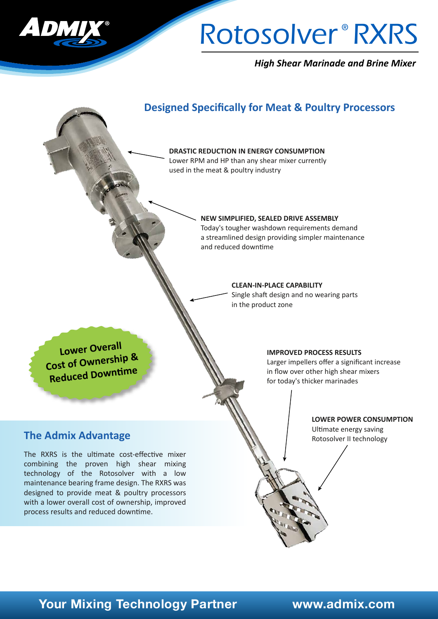

# Rotosolver<sup>®</sup> RXRS

*High Shear Marinade and Brine Mixer*



### **The Admix Advantage**

The RXRS is the ultimate cost-effective mixer combining the proven high shear mixing technology of the Rotosolver with a low maintenance bearing frame design. The RXRS was designed to provide meat & poultry processors with a lower overall cost of ownership, improved process results and reduced downtime.

Ultimate energy saving Rotosolver II technology

# **Your Mixing Technology Partner www.admix.com**